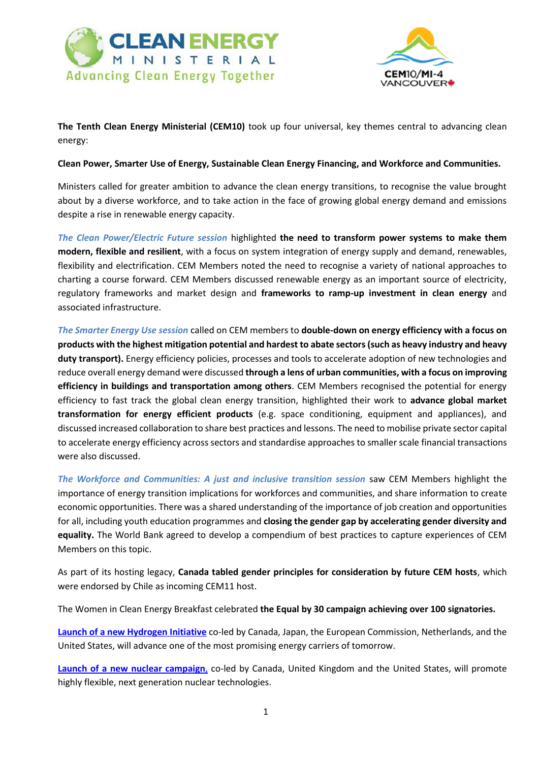



**The Tenth Clean Energy Ministerial (CEM10)** took up four universal, key themes central to advancing clean energy:

## **Clean Power, Smarter Use of Energy, Sustainable Clean Energy Financing, and Workforce and Communities.**

Ministers called for greater ambition to advance the clean energy transitions, to recognise the value brought about by a diverse workforce, and to take action in the face of growing global energy demand and emissions despite a rise in renewable energy capacity.

*The Clean Power/Electric Future session* highlighted **the need to transform power systems to make them modern, flexible and resilient**, with a focus on system integration of energy supply and demand, renewables, flexibility and electrification. CEM Members noted the need to recognise a variety of national approaches to charting a course forward. CEM Members discussed renewable energy as an important source of electricity, regulatory frameworks and market design and **frameworks to ramp-up investment in clean energy** and associated infrastructure.

*The Smarter Energy Use session* called on CEM members to **double-down on energy efficiency with a focus on products with the highest mitigation potential and hardest to abate sectors (such as heavy industry and heavy duty transport).** Energy efficiency policies, processes and tools to accelerate adoption of new technologies and reduce overall energy demand were discussed **through a lens of urban communities, with a focus on improving efficiency in buildings and transportation among others**. CEM Members recognised the potential for energy efficiency to fast track the global clean energy transition, highlighted their work to **advance global market transformation for energy efficient products** (e.g. space conditioning, equipment and appliances), and discussed increased collaboration to share best practices and lessons. The need to mobilise private sector capital to accelerate energy efficiency across sectors and standardise approaches to smaller scale financial transactions were also discussed.

*The Workforce and Communities: A just and inclusive transition session* saw CEM Members highlight the importance of energy transition implications for workforces and communities, and share information to create economic opportunities. There was a shared understanding of the importance of job creation and opportunities for all, including youth education programmes and **closing the gender gap by accelerating gender diversity and equality.** The World Bank agreed to develop a compendium of best practices to capture experiences of CEM Members on this topic.

As part of its hosting legacy, **Canada tabled gender principles for consideration by future CEM hosts**, which were endorsed by Chile as incoming CEM11 host.

The Women in Clean Energy Breakfast celebrated **the Equal by 30 campaign achieving over 100 signatories.**

**[Launch of a new Hydrogen Initiative](https://www.cleanenergyministerial.org/initiative-clean-energy-ministerial/hydrogen-initiative)** co-led by Canada, Japan, the European Commission, Netherlands, and the United States, will advance one of the most promising energy carriers of tomorrow.

**[Launch of a new nuclear campaign](https://www.cleanenergyministerial.org/campaign-clean-energy-ministerial/flexible-nuclear-campaign)**, co-led by Canada, United Kingdom and the United States, will promote highly flexible, next generation nuclear technologies.